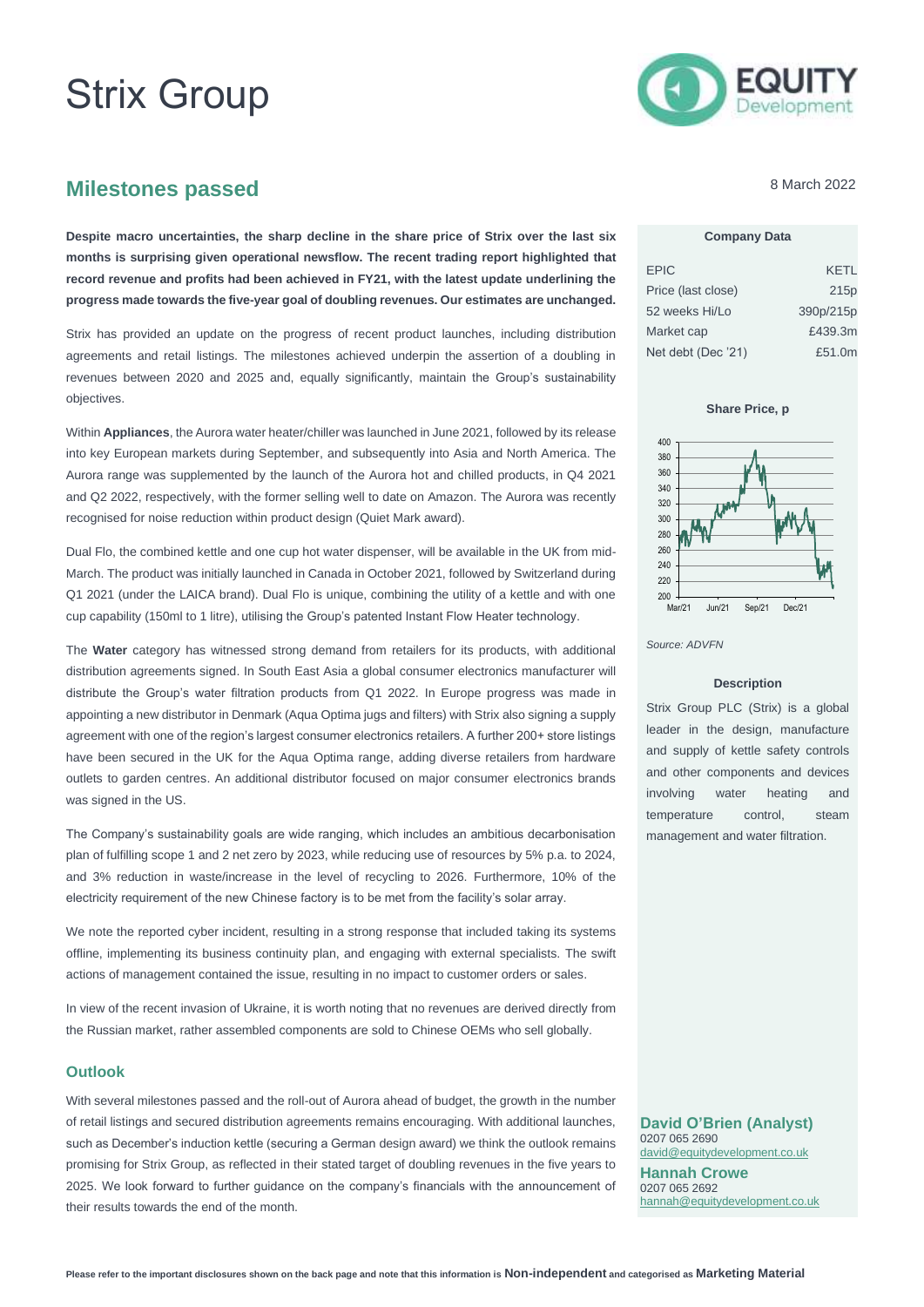# Strix Group



# **Milestones passed**

**Despite macro uncertainties, the sharp decline in the share price of Strix over the last six months is surprising given operational newsflow. The recent trading report highlighted that record revenue and profits had been achieved in FY21, with the latest update underlining the progress made towards the five-year goal of doubling revenues. Our estimates are unchanged.**

Strix has provided an update on the progress of recent product launches, including distribution agreements and retail listings. The milestones achieved underpin the assertion of a doubling in revenues between 2020 and 2025 and, equally significantly, maintain the Group's sustainability objectives.

Within **Appliances**, the Aurora water heater/chiller was launched in June 2021, followed by its release into key European markets during September, and subsequently into Asia and North America. The Aurora range was supplemented by the launch of the Aurora hot and chilled products, in Q4 2021 and Q2 2022, respectively, with the former selling well to date on Amazon. The Aurora was recently recognised for noise reduction within product design (Quiet Mark award).

Dual Flo, the combined kettle and one cup hot water dispenser, will be available in the UK from mid-March. The product was initially launched in Canada in October 2021, followed by Switzerland during Q1 2021 (under the LAICA brand). Dual Flo is unique, combining the utility of a kettle and with one cup capability (150ml to 1 litre), utilising the Group's patented Instant Flow Heater technology.

The **Water** category has witnessed strong demand from retailers for its products, with additional distribution agreements signed. In South East Asia a global consumer electronics manufacturer will distribute the Group's water filtration products from Q1 2022. In Europe progress was made in appointing a new distributor in Denmark (Aqua Optima jugs and filters) with Strix also signing a supply agreement with one of the region's largest consumer electronics retailers. A further 200+ store listings have been secured in the UK for the Aqua Optima range, adding diverse retailers from hardware outlets to garden centres. An additional distributor focused on major consumer electronics brands was signed in the US.

The Company's sustainability goals are wide ranging, which includes an ambitious decarbonisation plan of fulfilling scope 1 and 2 net zero by 2023, while reducing use of resources by 5% p.a. to 2024, and 3% reduction in waste/increase in the level of recycling to 2026. Furthermore, 10% of the electricity requirement of the new Chinese factory is to be met from the facility's solar array.

We note the reported cyber incident, resulting in a strong response that included taking its systems offline, implementing its business continuity plan, and engaging with external specialists. The swift actions of management contained the issue, resulting in no impact to customer orders or sales.

In view of the recent invasion of Ukraine, it is worth noting that no revenues are derived directly from the Russian market, rather assembled components are sold to Chinese OEMs who sell globally.

## **Outlook**

With several milestones passed and the roll-out of Aurora ahead of budget, the growth in the number of retail listings and secured distribution agreements remains encouraging. With additional launches, such as December's induction kettle (securing a German design award) we think the outlook remains promising for Strix Group, as reflected in their stated target of doubling revenues in the five years to 2025. We look forward to further guidance on the company's financials with the announcement of their results towards the end of the month.

8 March 2022

## **Company Data**

| <b>EPIC</b>        | KETL             |
|--------------------|------------------|
| Price (last close) | 215 <sub>p</sub> |
| 52 weeks Hi/Lo     | 390p/215p        |
| Market cap         | £439.3m          |
| Net debt (Dec '21) | £51.0m           |

**Share Price, p**



#### *Source: ADVFN*

#### **Description**

Strix Group PLC (Strix) is a global leader in the design, manufacture and supply of kettle safety controls and other components and devices involving water heating and temperature control, steam management and water filtration.

**David O'Brien (Analyst)** 0207 065 2690 [david@equitydevelopment.co.uk](mailto:david@equitydevelopment.co.uk) **Hannah Crowe** 0207 065 2692 [hannah@equitydevelopment.co.uk](mailto:hannah@equitydevelopment.co.uk)